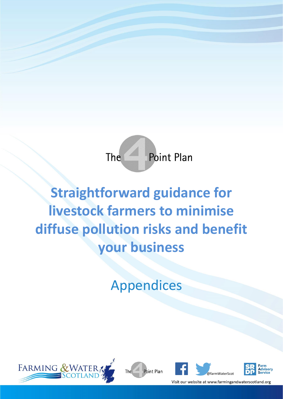

# **Straightforward guidance for livestock farmers to minimise diffuse pollution risks and benefit your business**

Appendices







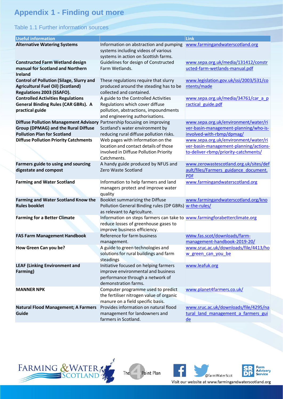# **Appendix 1 - Finding out more**

### Table 1.1 Further information sources

| <b>Useful information</b>                                                                                                                                   |                                                                                                                                                     | Link                                                                                                                   |
|-------------------------------------------------------------------------------------------------------------------------------------------------------------|-----------------------------------------------------------------------------------------------------------------------------------------------------|------------------------------------------------------------------------------------------------------------------------|
| <b>Alternative Watering Systems</b>                                                                                                                         | Information on abstraction and pumping<br>systems including videos of various<br>systems in action on Scottish farms.                               | www.farmingandwaterscotland.org                                                                                        |
| <b>Constructed Farm Wetland design</b><br>manual for Scotland and Northern<br><b>Ireland</b>                                                                | Guidelines for design of Constructed<br>Farm Wetlands.                                                                                              | www.sepa.org.uk/media/131412/constr<br>ucted-farm-wetlands-manual.pdf                                                  |
| <b>Control of Pollution (Silage, Slurry and</b><br><b>Agricultural Fuel Oil) (Scotland)</b><br>Regulations 2003 (SSAFO).                                    | These regulations require that slurry<br>produced around the steading has to be<br>collected and contained.                                         | www.legislation.gov.uk/ssi/2003/531/co<br>ntents/made                                                                  |
| <b>Controlled Activities Regulations</b><br><b>General Binding Rules (CAR GBRs). A</b><br>practical guide                                                   | A guide to the Controlled Activities<br>Regulations which cover diffuse<br>pollution, abstractions, impoundments<br>and engineering authorisations. | www.sepa.org.uk/media/34761/car_a_p<br>ractical guide.pdf                                                              |
| Diffuse Pollution Management Advisory Partnership focusing on improving<br><b>Group (DPMAG) and the Rural Diffuse</b><br><b>Pollution Plan for Scotland</b> | Scotland's water environment by<br>reducing rural diffuse pollution risks.                                                                          | www.sepa.org.uk/environment/water/ri<br>ver-basin-management-planning/who-is-<br>involved-with-rbmp/dpmag/             |
| <b>Diffuse Pollution Priority Catchments</b>                                                                                                                | Web pages with information on the<br>location and contact details of those<br>involved in Diffuse Pollution Priority<br>Catchments.                 | www.sepa.org.uk/environment/water/ri<br>ver-basin-management-planning/actions-<br>to-deliver-rbmp/priority-catchments/ |
| Farmers guide to using and sourcing<br>digestate and compost                                                                                                | A handy guide produced by NFUS and<br>Zero Waste Scotland                                                                                           | www.zerowastescotland.org.uk/sites/def<br>ault/files/Farmers guidance document.<br><b>PDF</b>                          |
| <b>Farming and Water Scotland</b>                                                                                                                           | Information to help farmers and land<br>managers protect and improve water<br>quality                                                               | www.farmingandwaterscotland.org                                                                                        |
| <b>Farming and Water Scotland Know the</b><br><b>Rules booklet</b>                                                                                          | Booklet summarizing the Diffuse<br>Pollution General Binding rules (DP GBRs) w-the-rules/<br>as relevant to Agriculture.                            | www.farmingandwaterscotland.org/kno                                                                                    |
| <b>Farming for a Better Climate</b>                                                                                                                         | Information on steps farmers can take to www.farmingforabetterclimate.org<br>reduce losses of greenhouse gases to<br>improve business efficiency.   |                                                                                                                        |
| <b>FAS Farm Management Handbook</b>                                                                                                                         | Reference for farm business<br>management.                                                                                                          | www.fas.scot/downloads/farm-<br>management-handbook-2019-20/                                                           |
| How Green Can you be?                                                                                                                                       | A guide to green technologies and<br>solutions for rural buildings and farm<br>steadings                                                            | www.sruc.ac.uk/downloads/file/4413/ho<br>w green can you be                                                            |
| <b>LEAF (Linking Environment and</b><br>Farming)                                                                                                            | Initiative focused on helping farmers<br>improve environmental and business<br>performance through a network of<br>demonstration farms.             | www.leafuk.org                                                                                                         |
| <b>MANNER NPK</b>                                                                                                                                           | Computer programme used to predict<br>the fertiliser nitrogen value of organic<br>manure on a field specific basis.                                 | www.planet4farmers.co.uk/                                                                                              |
| <b>Natural Flood Management; A Farmers</b><br>Guide                                                                                                         | Provides information on natural flood<br>management for landowners and<br>farmers in Scotland.                                                      | www.sruc.ac.uk/downloads/file/4295/na<br>tural land management a farmers gui<br>de                                     |





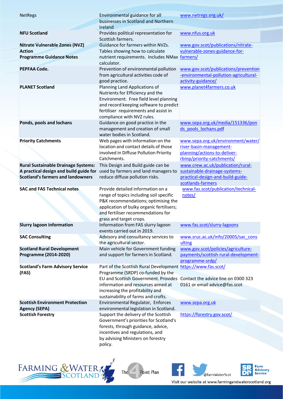| <b>NetRegs</b>                                                                       | Environmental guidance for all                                                                                | www.netregs.org.uk/                                                                                  |
|--------------------------------------------------------------------------------------|---------------------------------------------------------------------------------------------------------------|------------------------------------------------------------------------------------------------------|
|                                                                                      | businesses in Scotland and Northern                                                                           |                                                                                                      |
|                                                                                      | Ireland                                                                                                       |                                                                                                      |
| <b>NFU Scotland</b>                                                                  | Provides political representation for<br>Scottish farmers.                                                    | www.nfus.org.uk                                                                                      |
| <b>Nitrate Vulnerable Zones (NVZ)</b>                                                | Guidance for farmers within NVZs.                                                                             | www.gov.scot/publications/nitrate-                                                                   |
| <b>Action</b>                                                                        | Tables showing how to calculate                                                                               | vulnerable-zones-guidance-for-                                                                       |
| <b>Programme Guidance Notes</b>                                                      | nutrient requirements. Includes NMax farmers/<br>calculator.                                                  |                                                                                                      |
| PEPFAA Code.                                                                         | Prevention of environmental pollution<br>from agricultural activities code of<br>good practice.               | www.gov.scot/publications/prevention<br>-environmental-pollution-agricultural-<br>activity-guidance/ |
| <b>PLANET Scotland</b>                                                               | Planning Land Applications of<br>Nutrients for Efficiency and the                                             | www.planet4farmers.co.uk                                                                             |
|                                                                                      | Environment. Free field level planning                                                                        |                                                                                                      |
|                                                                                      | and record keeping software to predict                                                                        |                                                                                                      |
|                                                                                      | fertiliser requirements and assist in<br>compliance with NVZ rules.                                           |                                                                                                      |
| Ponds, pools and lochans                                                             | Guidance on good practice in the                                                                              | www.sepa.org.uk/media/151336/pon                                                                     |
|                                                                                      | management and creation of small                                                                              | ds pools lochans.pdf                                                                                 |
|                                                                                      | water bodies in Scotland.                                                                                     |                                                                                                      |
| <b>Priority Catchments</b>                                                           | Web pages with information on the                                                                             | www.sepa.org.uk/environment/water/                                                                   |
|                                                                                      | location and contact details of those                                                                         | river-basin-management-                                                                              |
|                                                                                      | involved in Diffuse Pollution Priority                                                                        | planning/actions-to-deliver-                                                                         |
|                                                                                      | Catchments.                                                                                                   | rbmp/priority-catchments/                                                                            |
| <b>Rural Sustainable Drainage Systems:</b><br>A practical design and build guide for | This Design and Build guide can be<br>used by farmers and land managers to                                    | www.crew.ac.uk/publication/rural-<br>sustainable-drainage-systems-                                   |
| <b>Scotland's farmers and landowners</b>                                             | reduce diffuse pollution risks.                                                                               | practical-design-and-build-guide-                                                                    |
|                                                                                      |                                                                                                               |                                                                                                      |
|                                                                                      |                                                                                                               | scotlands-farmers                                                                                    |
| <b>SAC and FAS Technical notes</b>                                                   | Provide detailed information on a                                                                             | www.fas.scot/publication/technical-                                                                  |
|                                                                                      | range of topics including soil specific                                                                       | notes/                                                                                               |
|                                                                                      | P&K recommendations; optimising the                                                                           |                                                                                                      |
|                                                                                      | application of bulky organic fertilisers;                                                                     |                                                                                                      |
|                                                                                      | and fertiliser recommendations for                                                                            |                                                                                                      |
| <b>Slurry lagoon information</b>                                                     | grass and target crops.<br>Information from FAS slurry lagoon                                                 | www.fas.scot/slurry-lagoons                                                                          |
|                                                                                      | events carried out in 2019.                                                                                   | www.sruc.ac.uk/info/20005/sac_cons                                                                   |
| <b>SAC Consulting</b>                                                                | Advisory and consultancy services to<br>the agricultural sector.                                              | ulting                                                                                               |
| <b>Scotland Rural Development</b>                                                    | Main vehicle for Government funding                                                                           | www.gov.scot/policies/agriculture-                                                                   |
| Programme (2014-2020)                                                                | and support for farmers in Scotland.                                                                          | payments/scottish-rural-development-                                                                 |
|                                                                                      |                                                                                                               | programme-srdp/                                                                                      |
| <b>Scotland's Farm Advisory Service</b>                                              | Part of the Scottish Rural Development https://www.fas.scot/                                                  |                                                                                                      |
| (FAS)                                                                                | Programme (SRDP) co-funded by the<br>EU and Scottish Government. Provides Contact the advice line on 0300 323 |                                                                                                      |
|                                                                                      | information and resources aimed at                                                                            | 0161 or email advice@fas.scot                                                                        |
|                                                                                      | increasing the profitability and                                                                              |                                                                                                      |
|                                                                                      | sustainability of farms and crofts.                                                                           |                                                                                                      |
| <b>Scottish Environment Protection</b>                                               | Environmental Regulator, Enforces                                                                             | www.sepa.org.uk                                                                                      |
| <b>Agency (SEPA)</b>                                                                 | environmental legislation in Scotland.                                                                        |                                                                                                      |
| <b>Scottish Forestry</b>                                                             | Support the delivery of the Scottish                                                                          | https://forestry.gov.scot/                                                                           |
|                                                                                      | Government's priorities for Scotland's<br>forests, through guidance, advice,                                  |                                                                                                      |
|                                                                                      | incentives and regulations, and                                                                               |                                                                                                      |
|                                                                                      | by advising Ministers on forestry<br>policy.                                                                  |                                                                                                      |



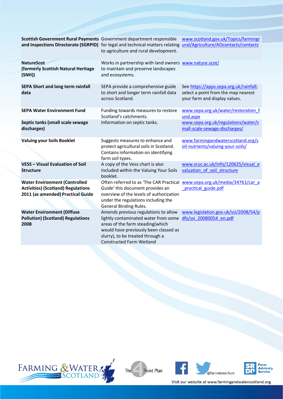| Scottish Government Rural Payments Government department responsible                                                   | and Inspections Directorate (SGRPID) for legal and technical matters relating ural/Agriculture/AOcontacts/contacts<br>to agriculture and rural development.                                                                      | www.scotland.gov.uk/Topics/farmingr                                                                            |
|------------------------------------------------------------------------------------------------------------------------|----------------------------------------------------------------------------------------------------------------------------------------------------------------------------------------------------------------------------------|----------------------------------------------------------------------------------------------------------------|
| <b>NatureScot</b><br>(formerly Scottish Natural Heritage<br>(SNH))                                                     | Works in partnership with land owners www.nature.scot/<br>to maintain and preserve landscapes<br>and ecosystems.                                                                                                                 |                                                                                                                |
| <b>SEPA Short and long term rainfall</b><br>data                                                                       | SEPA provide a comprehensive guide<br>to short and longer term rainfall data<br>across Scotland.                                                                                                                                 | See https://apps.sepa.org.uk/rainfall;<br>select a point from the map nearest<br>your farm and display values. |
| <b>SEPA Water Environment Fund</b>                                                                                     | Funding towards measures to restore<br>Scotland's catchments.                                                                                                                                                                    | www.sepa.org.uk/water/restoration f<br>und.aspx                                                                |
| Septic tanks (small scale sewage<br>discharges)                                                                        | Information on septic tanks.                                                                                                                                                                                                     | www.sepa.org.uk/regulations/water/s<br>mall-scale-sewage-discharges/                                           |
| <b>Valuing your Soils Booklet</b>                                                                                      | Suggests measures to enhance and<br>protect agricultural soils in Scotland.<br>Contains information on identifying<br>farm soil types.                                                                                           | www.farmingandwaterscotland.org/s<br>oil-nutrients/valuing-your-soils/                                         |
| <b>VESS - Visual Evaluation of Soil</b><br><b>Structure</b>                                                            | A copy of the Vess chart is also<br>included within the Valuing Your Soils<br>booklet.                                                                                                                                           | www.sruc.ac.uk/info/120625/visual e<br>valuation of soil structure                                             |
| <b>Water Environment (Controlled</b><br><b>Activities) (Scotland) Regulations</b><br>2011 (as amended) Practical Guide | Often referred to as 'The CAR Practical<br>Guide' this document provides an<br>overview of the levels of authorization<br>under the regulations including the<br><b>General Binding Rules.</b>                                   | www.sepa.org.uk/media/34761/car_a<br>practical guide.pdf                                                       |
| <b>Water Environment (Diffuse</b><br><b>Pollution) (Scotland) Regulations</b><br>2008                                  | Amends previous regulations to allow<br>lightly contaminated water from some<br>areas of the farm steading(which<br>would have previously been classed as<br>slurry), to be treated through a<br><b>Constructed Farm Wetland</b> | www.legislation.gov.uk/ssi/2008/54/p<br>dfs/ssi 20080054 en.pdf                                                |







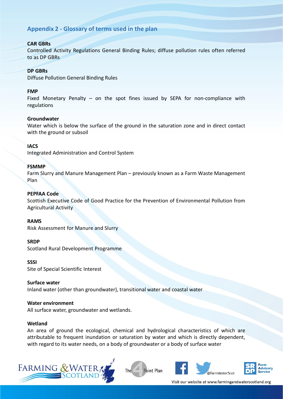# **Appendix 2 - Glossary of terms used in the plan**

### **CAR GBRs**

Controlled Activity Regulations General Binding Rules; diffuse pollution rules often referred to as DP GBRs

### **DP GBRs**

Diffuse Pollution General Binding Rules

### **FMP**

Fixed Monetary Penalty – on the spot fines issued by SEPA for non-compliance with regulations

### **Groundwater**

Water which is below the surface of the ground in the saturation zone and in direct contact with the ground or subsoil

### **IACS**

Integrated Administration and Control System

### **FSMMP**

Farm Slurry and Manure Management Plan – previously known as a Farm Waste Management Plan

### **PEPFAA Code**

Scottish Executive Code of Good Practice for the Prevention of Environmental Pollution from Agricultural Activity

### **RAMS**

Risk Assessment for Manure and Slurry

### **SRDP**

Scotland Rural Development Programme

### **SSSI**

Site of Special Scientific Interest

### **Surface water**

Inland water (other than groundwater), transitional water and coastal water

### **Water environment**

All surface water, groundwater and wetlands.

### **Wetland**

An area of ground the ecological, chemical and hydrological characteristics of which are attributable to frequent inundation or saturation by water and which is directly dependent, with regard to its water needs, on a body of groundwater or a body of surface water







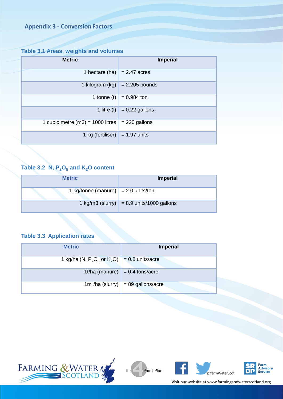# **Appendix 3 - Conversion Factors**

# **Table 3.1 Areas, weights and volumes**

| <b>Metric</b>                                          | <b>Imperial</b>                    |
|--------------------------------------------------------|------------------------------------|
| 1 hectare (ha) $= 2.47$ acres                          |                                    |
|                                                        | 1 kilogram (kg) $= 2.205$ pounds   |
|                                                        | 1 tonne (t) $\vert$ = 0.984 ton    |
|                                                        | 1 litre (l) $\vert$ = 0.22 gallons |
| 1 cubic metre (m3) = 1000 litres $\vert$ = 220 gallons |                                    |
| 1 kg (fertiliser) $\vert$ = 1.97 units                 |                                    |

# Table 3.2  $N$ ,  $P_2O_5$  and  $K_2O$  content

| <b>Metric</b>                               | <b>Imperial</b>                                   |  |
|---------------------------------------------|---------------------------------------------------|--|
| 1 kg/tonne (manure) $\vert$ = 2.0 units/ton |                                                   |  |
|                                             | 1 kg/m3 (slurry) $\vert$ = 8.9 units/1000 gallons |  |

## **Table 3.3 Application rates**

| <b>Metric</b>                                     | <b>Imperial</b>                      |
|---------------------------------------------------|--------------------------------------|
| 1 kg/ha (N, $P_2O_5$ or $K_2O$ ) = 0.8 units/acre |                                      |
|                                                   | 1t/ha (manure) $= 0.4$ tons/acre     |
|                                                   | $1m^3/ha$ (slurry) = 89 gallons/acre |







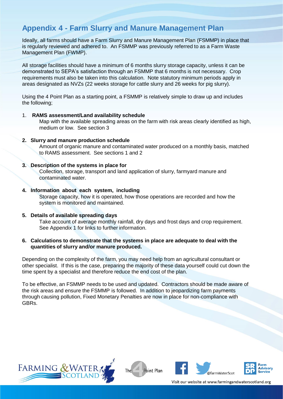# **Appendix 4 - Farm Slurry and Manure Management Plan**

Ideally, all farms should have a Farm Slurry and Manure Management Plan (FSMMP) in place that is regularly reviewed and adhered to. An FSMMP was previously referred to as a Farm Waste Management Plan (FWMP).

All storage facilities should have a minimum of 6 months slurry storage capacity, unless it can be demonstrated to SEPA's satisfaction through an FSMMP that 6 months is not necessary. Crop requirements must also be taken into this calculation. Note statutory minimum periods apply in areas designated as NVZs (22 weeks storage for cattle slurry and 26 weeks for pig slurry).

Using the 4 Point Plan as a starting point, a FSMMP is relatively simple to draw up and includes the following;

### 1. **RAMS assessment/Land availability schedule**

Map with the available spreading areas on the farm with risk areas clearly identified as high, medium or low. See section 3

### **2. Slurry and manure production schedule**

Amount of organic manure and contaminated water produced on a monthly basis, matched to RAMS assessment. See sections 1 and 2

### **3. Description of the systems in place for**

Collection, storage, transport and land application of slurry, farmyard manure and contaminated water.

### **4. Information about each system, including**

Storage capacity, how it is operated, how those operations are recorded and how the system is monitored and maintained.

### **5. Details of available spreading days**

Take account of average monthly rainfall, dry days and frost days and crop requirement. See Appendix 1 for links to further information.

### **6. Calculations to demonstrate that the systems in place are adequate to deal with the quantities of slurry and/or manure produced.**

Depending on the complexity of the farm, you may need help from an agricultural consultant or other specialist. If this is the case, preparing the majority of these data yourself could cut down the time spent by a specialist and therefore reduce the end cost of the plan.

To be effective, an FSMMP needs to be used and updated. Contractors should be made aware of the risk areas and ensure the FSMMP is followed. In addition to jeopardizing farm payments through causing pollution, Fixed Monetary Penalties are now in place for non-compliance with GBRs.







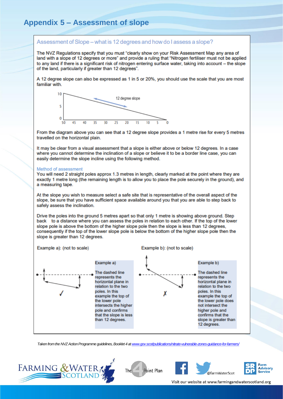### Assessment of Slope – what is 12 degrees and how do I assess a slope?

The NVZ Requlations specify that you must "clearly show on your Risk Assessment Map any area of land with a slope of 12 degrees or more" and provide a ruling that "Nitrogen fertiliser must not be applied to any land if there is a significant risk of nitrogen entering surface water, taking into account - the slope of the land, particularly if greater than 12 degrees".

A 12 degree slope can also be expressed as 1 in 5 or 20%, you should use the scale that you are most familiar with.



From the diagram above you can see that a 12 degree slope provides a 1 metre rise for every 5 metres travelled on the horizontal plain.

It may be clear from a visual assessment that a slope is either above or below 12 degrees. In a case where you cannot determine the inclination of a slope or believe it to be a border line case, you can easily determine the slope incline using the following method.

#### Method of assessment

You will need 2 straight poles approx 1.3 metres in length, clearly marked at the point where they are exactly 1 metre long (the remaining length is to allow you to place the pole securely in the ground), and a measuring tape.

At the slope you wish to measure select a safe site that is representative of the overall aspect of the slope, be sure that you have sufficient space available around you that you are able to step back to safely assess the inclination.

Drive the poles into the ground 5 metres apart so that only 1 metre is showing above ground. Step back to a distance where you can assess the poles in relation to each other. If the top of the lower slope pole is above the bottom of the higher slope pole then the slope is less than 12 degrees. consequently if the top of the lower slope pole is below the bottom of the higher slope pole then the slope is greater than 12 degrees.



Taken from the NVZ Action Programme guidelines, Booklet 4 at www.gov.scot/publications/nitrate-vulnerable-zones-guidance-for-farmers/



Point Plan The